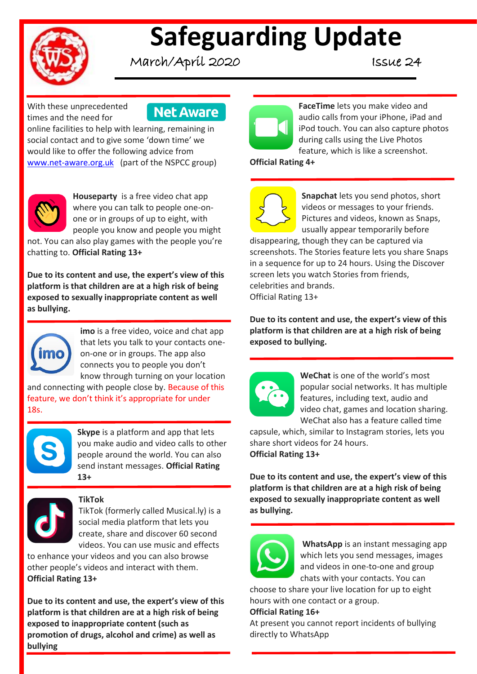

# **Safeguarding Update**

March/April 2020 Issue 24

With these unprecedented times and the need for

**Net Aware** 

online facilities to help with learning, remaining in social contact and to give some 'down time' we would like to offer the following advice from [www.net-aware.org.uk](http://www.net-aware.org.uk/) (part of the NSPCC group)



**Houseparty** is a free video chat app where you can talk to people one-onone or in groups of up to eight, with people you know and people you might

not. You can also play games with the people you're chatting to. **Official Rating 13+**

**Due to its content and use, the expert's view of this platform is that children are at a high risk of being exposed to sexually inappropriate content as well as bullying.**



**imo** is a free video, voice and chat app that lets you talk to your contacts oneon-one or in groups. The app also connects you to people you don't know through turning on your location

and connecting with people close by. Because of this feature, we don't think it's appropriate for under 18s.



**Skype** is a platform and app that lets you make audio and video calls to other people around the world. You can also send instant messages. **Official Rating 13+**



### **TikTok**

TikTok (formerly called Musical.ly) is a social media platform that lets you create, share and discover 60 second videos. You can use music and effects

to enhance your videos and you can also browse other people's videos and interact with them. **Official Rating 13+**

**Due to its content and use, the expert's view of this platform is that children are at a high risk of being exposed to inappropriate content (such as promotion of drugs, alcohol and crime) as well as bullying**



**FaceTime** lets you make video and audio calls from your iPhone, iPad and iPod touch. You can also capture photos during calls using the Live Photos feature, which is like a screenshot.

**Official Rating 4+**



**Snapchat** lets you send photos, short videos or messages to your friends. Pictures and videos, known as Snaps, usually appear temporarily before

disappearing, though they can be captured via screenshots. The Stories feature lets you share Snaps in a sequence for up to 24 hours. Using the Discover screen lets you watch Stories from friends, celebrities and brands. Official Rating 13+

**Due to its content and use, the expert's view of this platform is that children are at a high risk of being exposed to bullying.**



**WeChat** is one of the world's most popular social networks. It has multiple features, including text, audio and video chat, games and location sharing. WeChat also has a feature called time

capsule, which, similar to Instagram stories, lets you share short videos for 24 hours. **Official Rating 13+**

**Due to its content and use, the expert's view of this platform is that children are at a high risk of being exposed to sexually inappropriate content as well as bullying.**



**WhatsApp** is an instant messaging app which lets you send messages, images and videos in one-to-one and group chats with your contacts. You can

choose to share your live location for up to eight hours with one contact or a group.

### **Official Rating 16+**

At present you cannot report incidents of bullying directly to WhatsApp